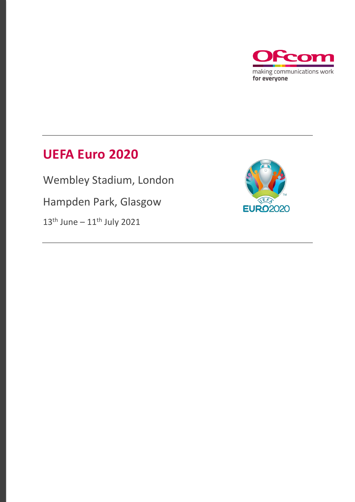

### **UEFA Euro 2020**

Wembley Stadium, London

Hampden Park, Glasgow

 $13<sup>th</sup>$  June –  $11<sup>th</sup>$  July 2021

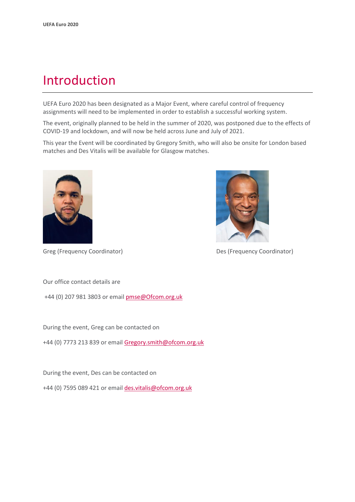### Introduction

UEFA Euro 2020 has been designated as a Major Event, where careful control of frequency assignments will need to be implemented in order to establish a successful working system.

The event, originally planned to be held in the summer of 2020, was postponed due to the effects of COVID-19 and lockdown, and will now be held across June and July of 2021.

This year the Event will be coordinated by Gregory Smith, who will also be onsite for London based matches and Des Vitalis will be available for Glasgow matches.



Greg (Frequency Coordinator) Des (Frequency Coordinator)

Our office contact details are

+44 (0) 207 981 3803 or emai[l pmse@Ofcom.org.uk](mailto:pmse@arqiva.com)

During the event, Greg can be contacted on

+44 (0) 7773 213 839 or email [Gregory.smith@ofcom.org.uk](mailto:Gregory.smith@ofcom.org.uk)

During the event, Des can be contacted on

+44 (0) 7595 089 421 or email [des.vitalis@ofcom.org.uk](mailto:des.vitalis@ofcom.org.uk)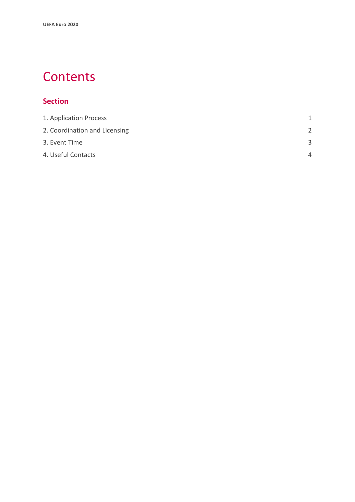### **Contents**

#### **Section**

| 1. Application Process        | 1             |
|-------------------------------|---------------|
| 2. Coordination and Licensing | $\mathcal{P}$ |
| 3. Event Time                 | З             |
| 4. Useful Contacts            | $\Delta$      |
|                               |               |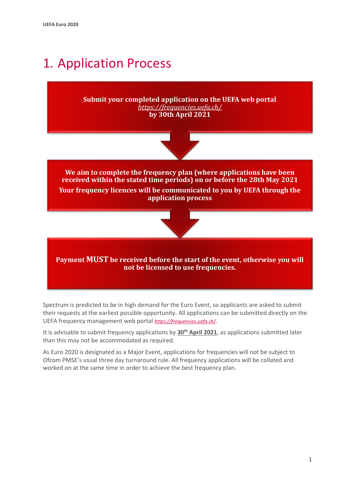## <span id="page-3-0"></span>1. Application Process

**Submit your completed application on the UEFA web portal**  *https://frequencies.uefa.ch/* **by 30th April 2021**



**We aim to complete the frequency plan (where applications have been received within the stated time periods) on or before the 28th May 2021 Your frequency licences will be communicated to you by UEFA through the application process**



**Payment MUST be received before the start of the event, otherwise you will not be licensed to use frequencies.**

Spectrum is predicted to be in high demand for the Euro Event, so applicants are asked to submit their requests at the earliest possible opportunity. All applications can be submitted directly on the UEFA frequency management web portal *[https://frequencies.uefa.ch/](https://eur01.safelinks.protection.outlook.com/?url=https%3A%2F%2Ffrequencies.uefa.ch%2F&data=04%7C01%7CGregory.Smith%40ofcom.org.uk%7Cef0ad70692aa41d9f48908d8c9155722%7C0af648de310c40688ae4f9418bae24cc%7C0%7C0%7C637480440793866516%7CUnknown%7CTWFpbGZsb3d8eyJWIjoiMC4wLjAwMDAiLCJQIjoiV2luMzIiLCJBTiI6Ik1haWwiLCJXVCI6Mn0%3D%7C1000&sdata=FgcmLa49b0rNvEUHPWE4HzNiIS20UOGtyP%2FqzE87Ejg%3D&reserved=0).*

It is advisable to submit frequency applications by **30th April 2021**, as applications submitted later than this may not be accommodated as required.

As Euro 2020 is designated as a Major Event, applications for frequencies will not be subject to Ofcom PMSE's usual three day turnaround rule. All frequency applications will be collated and worked on at the same time in order to achieve the best frequency plan.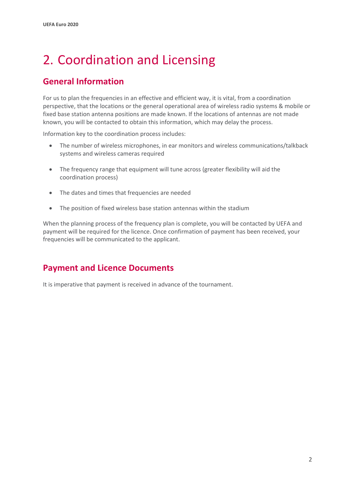# <span id="page-4-0"></span>2. Coordination and Licensing

### **General Information**

For us to plan the frequencies in an effective and efficient way, it is vital, from a coordination perspective, that the locations or the general operational area of wireless radio systems & mobile or fixed base station antenna positions are made known. If the locations of antennas are not made known, you will be contacted to obtain this information, which may delay the process.

Information key to the coordination process includes:

- The number of wireless microphones, in ear monitors and wireless communications/talkback systems and wireless cameras required
- The frequency range that equipment will tune across (greater flexibility will aid the coordination process)
- The dates and times that frequencies are needed
- The position of fixed wireless base station antennas within the stadium

When the planning process of the frequency plan is complete, you will be contacted by UEFA and payment will be required for the licence. Once confirmation of payment has been received, your frequencies will be communicated to the applicant.

#### **Payment and Licence Documents**

It is imperative that payment is received in advance of the tournament.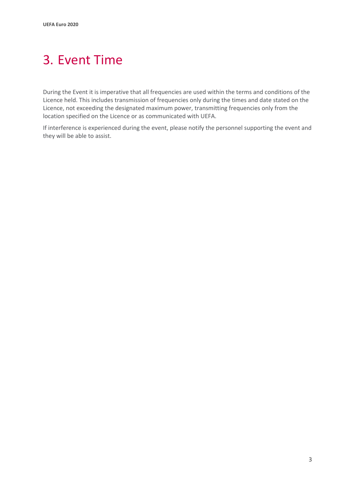## <span id="page-5-0"></span>3. Event Time

During the Event it is imperative that all frequencies are used within the terms and conditions of the Licence held. This includes transmission of frequencies only during the times and date stated on the Licence, not exceeding the designated maximum power, transmitting frequencies only from the location specified on the Licence or as communicated with UEFA.

If interference is experienced during the event, please notify the personnel supporting the event and they will be able to assist.